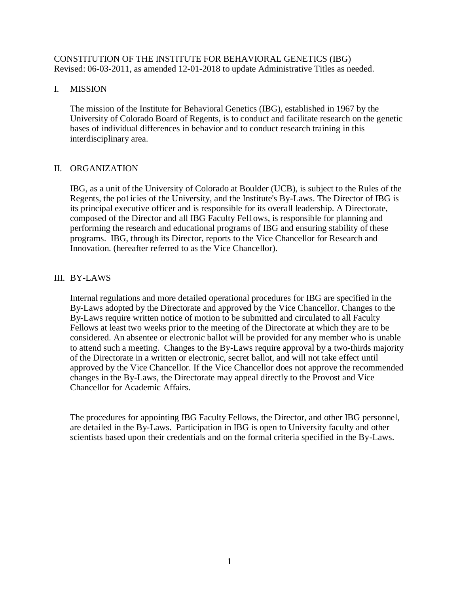## CONSTITUTION OF THE INSTITUTE FOR BEHAVIORAL GENETICS (IBG) Revised: 06-03-2011, as amended 12-01-2018 to update Administrative Titles as needed.

## I. MISSION

The mission of the Institute for Behavioral Genetics (IBG), established in 1967 by the University of Colorado Board of Regents, is to conduct and facilitate research on the genetic bases of individual differences in behavior and to conduct research training in this interdisciplinary area.

## II. ORGANIZATION

IBG, as a unit of the University of Colorado at Boulder (UCB), is subject to the Rules of the Regents, the po1icies of the University, and the Institute's By-Laws. The Director of IBG is its principal executive officer and is responsible for its overall leadership. A Directorate, composed of the Director and all IBG Faculty Fel1ows, is responsible for planning and performing the research and educational programs of IBG and ensuring stability of these programs. IBG, through its Director, reports to the Vice Chancellor for Research and Innovation. (hereafter referred to as the Vice Chancellor).

## III. BY-LAWS

Internal regulations and more detailed operational procedures for IBG are specified in the By-Laws adopted by the Directorate and approved by the Vice Chancellor. Changes to the By-Laws require written notice of motion to be submitted and circulated to all Faculty Fellows at least two weeks prior to the meeting of the Directorate at which they are to be considered. An absentee or electronic ballot will be provided for any member who is unable to attend such a meeting. Changes to the By-Laws require approval by a two-thirds majority of the Directorate in a written or electronic, secret ballot, and will not take effect until approved by the Vice Chancellor. If the Vice Chancellor does not approve the recommended changes in the By-Laws, the Directorate may appeal directly to the Provost and Vice Chancellor for Academic Affairs.

The procedures for appointing IBG Faculty Fellows, the Director, and other IBG personnel, are detailed in the By-Laws. Participation in IBG is open to University faculty and other scientists based upon their credentials and on the formal criteria specified in the By-Laws.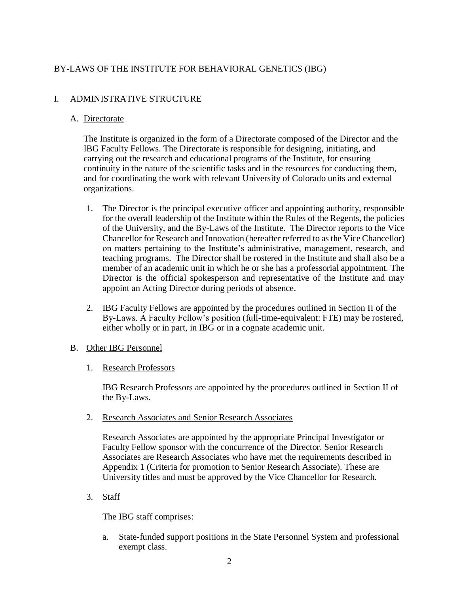# BY-LAWS OF THE INSTITUTE FOR BEHAVIORAL GENETICS (IBG)

# I. ADMINISTRATIVE STRUCTURE

## A. Directorate

The Institute is organized in the form of a Directorate composed of the Director and the IBG Faculty Fellows. The Directorate is responsible for designing, initiating, and carrying out the research and educational programs of the Institute, for ensuring continuity in the nature of the scientific tasks and in the resources for conducting them, and for coordinating the work with relevant University of Colorado units and external organizations.

- 1. The Director is the principal executive officer and appointing authority, responsible for the overall leadership of the Institute within the Rules of the Regents, the policies of the University, and the By-Laws of the Institute. The Director reports to the Vice Chancellor for Research and Innovation (hereafter referred to as the Vice Chancellor) on matters pertaining to the Institute's administrative, management, research, and teaching programs. The Director shall be rostered in the Institute and shall also be a member of an academic unit in which he or she has a professorial appointment. The Director is the official spokesperson and representative of the Institute and may appoint an Acting Director during periods of absence.
- 2. IBG Faculty Fellows are appointed by the procedures outlined in Section II of the By-Laws. A Faculty Fellow's position (full-time-equivalent: FTE) may be rostered, either wholly or in part, in IBG or in a cognate academic unit.

# B. Other IBG Personnel

1. Research Professors

IBG Research Professors are appointed by the procedures outlined in Section II of the By-Laws.

2. Research Associates and Senior Research Associates

Research Associates are appointed by the appropriate Principal Investigator or Faculty Fellow sponsor with the concurrence of the Director. Senior Research Associates are Research Associates who have met the requirements described in Appendix 1 (Criteria for promotion to Senior Research Associate). These are University titles and must be approved by the Vice Chancellor for Research.

3. Staff

The IBG staff comprises:

a. State-funded support positions in the State Personnel System and professional exempt class.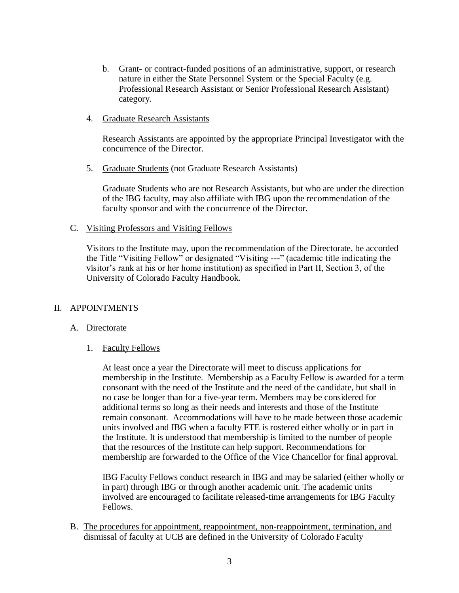- b. Grant- or contract-funded positions of an administrative, support, or research nature in either the State Personnel System or the Special Faculty (e.g. Professional Research Assistant or Senior Professional Research Assistant) category.
- 4. Graduate Research Assistants

Research Assistants are appointed by the appropriate Principal Investigator with the concurrence of the Director.

5. Graduate Students (not Graduate Research Assistants)

Graduate Students who are not Research Assistants, but who are under the direction of the IBG faculty, may also affiliate with IBG upon the recommendation of the faculty sponsor and with the concurrence of the Director.

C. Visiting Professors and Visiting Fellows

Visitors to the Institute may, upon the recommendation of the Directorate, be accorded the Title "Visiting Fellow" or designated "Visiting ---" (academic title indicating the visitor's rank at his or her home institution) as specified in Part II, Section 3, of the University of Colorado Faculty Handbook.

#### II. APPOINTMENTS

#### A. Directorate

1. Faculty Fellows

At least once a year the Directorate will meet to discuss applications for membership in the Institute. Membership as a Faculty Fellow is awarded for a term consonant with the need of the Institute and the need of the candidate, but shall in no case be longer than for a five-year term. Members may be considered for additional terms so long as their needs and interests and those of the Institute remain consonant. Accommodations will have to be made between those academic units involved and IBG when a faculty FTE is rostered either wholly or in part in the Institute. It is understood that membership is limited to the number of people that the resources of the Institute can help support. Recommendations for membership are forwarded to the Office of the Vice Chancellor for final approval.

IBG Faculty Fellows conduct research in IBG and may be salaried (either wholly or in part) through IBG or through another academic unit. The academic units involved are encouraged to facilitate released-time arrangements for IBG Faculty Fellows.

B. The procedures for appointment, reappointment, non-reappointment, termination, and dismissal of faculty at UCB are defined in the University of Colorado Faculty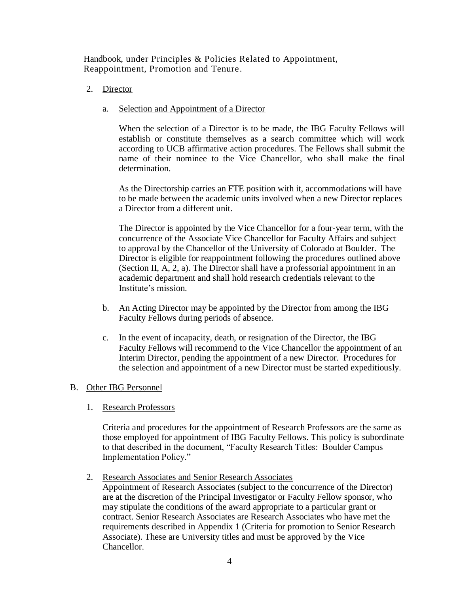## Handbook, under Principles & Policies Related to Appointment, Reappointment, Promotion and Tenure.

2. Director

## a. Selection and Appointment of a Director

When the selection of a Director is to be made, the IBG Faculty Fellows will establish or constitute themselves as a search committee which will work according to UCB affirmative action procedures. The Fellows shall submit the name of their nominee to the Vice Chancellor, who shall make the final determination.

As the Directorship carries an FTE position with it, accommodations will have to be made between the academic units involved when a new Director replaces a Director from a different unit.

The Director is appointed by the Vice Chancellor for a four-year term, with the concurrence of the Associate Vice Chancellor for Faculty Affairs and subject to approval by the Chancellor of the University of Colorado at Boulder. The Director is eligible for reappointment following the procedures outlined above (Section II, A, 2, a). The Director shall have a professorial appointment in an academic department and shall hold research credentials relevant to the Institute's mission.

- b. An Acting Director may be appointed by the Director from among the IBG Faculty Fellows during periods of absence.
- c. In the event of incapacity, death, or resignation of the Director, the IBG Faculty Fellows will recommend to the Vice Chancellor the appointment of an Interim Director, pending the appointment of a new Director. Procedures for the selection and appointment of a new Director must be started expeditiously.

## B. Other IBG Personnel

1. Research Professors

Criteria and procedures for the appointment of Research Professors are the same as those employed for appointment of IBG Faculty Fellows. This policy is subordinate to that described in the document, "Faculty Research Titles: Boulder Campus Implementation Policy."

2. Research Associates and Senior Research Associates

Appointment of Research Associates (subject to the concurrence of the Director) are at the discretion of the Principal Investigator or Faculty Fellow sponsor, who may stipulate the conditions of the award appropriate to a particular grant or contract. Senior Research Associates are Research Associates who have met the requirements described in Appendix 1 (Criteria for promotion to Senior Research Associate). These are University titles and must be approved by the Vice Chancellor.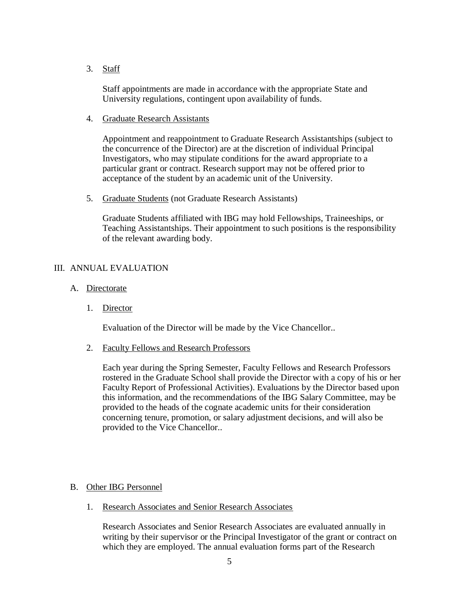3. Staff

Staff appointments are made in accordance with the appropriate State and University regulations, contingent upon availability of funds.

4. Graduate Research Assistants

Appointment and reappointment to Graduate Research Assistantships (subject to the concurrence of the Director) are at the discretion of individual Principal Investigators, who may stipulate conditions for the award appropriate to a particular grant or contract. Research support may not be offered prior to acceptance of the student by an academic unit of the University.

5. Graduate Students (not Graduate Research Assistants)

Graduate Students affiliated with IBG may hold Fellowships, Traineeships, or Teaching Assistantships. Their appointment to such positions is the responsibility of the relevant awarding body.

## III. ANNUAL EVALUATION

- A. Directorate
	- 1. Director

Evaluation of the Director will be made by the Vice Chancellor..

2. Faculty Fellows and Research Professors

Each year during the Spring Semester, Faculty Fellows and Research Professors rostered in the Graduate School shall provide the Director with a copy of his or her Faculty Report of Professional Activities). Evaluations by the Director based upon this information, and the recommendations of the IBG Salary Committee, may be provided to the heads of the cognate academic units for their consideration concerning tenure, promotion, or salary adjustment decisions, and will also be provided to the Vice Chancellor..

#### B. Other IBG Personnel

1. Research Associates and Senior Research Associates

Research Associates and Senior Research Associates are evaluated annually in writing by their supervisor or the Principal Investigator of the grant or contract on which they are employed. The annual evaluation forms part of the Research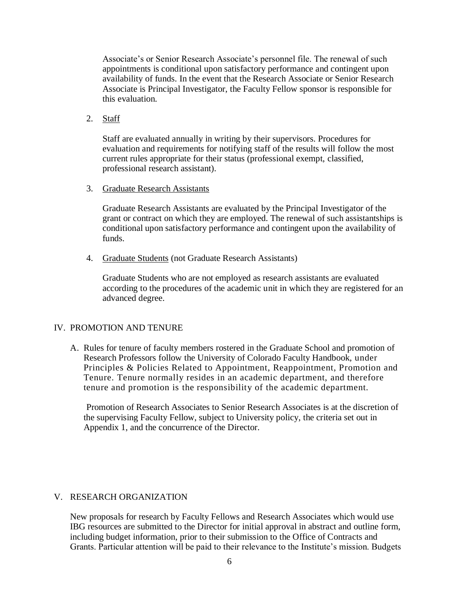Associate's or Senior Research Associate's personnel file. The renewal of such appointments is conditional upon satisfactory performance and contingent upon availability of funds. In the event that the Research Associate or Senior Research Associate is Principal Investigator, the Faculty Fellow sponsor is responsible for this evaluation.

## 2. Staff

Staff are evaluated annually in writing by their supervisors. Procedures for evaluation and requirements for notifying staff of the results will follow the most current rules appropriate for their status (professional exempt, classified, professional research assistant).

#### 3. Graduate Research Assistants

Graduate Research Assistants are evaluated by the Principal Investigator of the grant or contract on which they are employed. The renewal of such assistantships is conditional upon satisfactory performance and contingent upon the availability of funds.

4. Graduate Students (not Graduate Research Assistants)

Graduate Students who are not employed as research assistants are evaluated according to the procedures of the academic unit in which they are registered for an advanced degree.

## IV. PROMOTION AND TENURE

A. Rules for tenure of faculty members rostered in the Graduate School and promotion of Research Professors follow the University of Colorado Faculty Handbook, under Principles & Policies Related to Appointment, Reappointment, Promotion and Tenure. Tenure normally resides in an academic department, and therefore tenure and promotion is the responsibility of the academic department.

 Promotion of Research Associates to Senior Research Associates is at the discretion of the supervising Faculty Fellow, subject to University policy, the criteria set out in Appendix 1, and the concurrence of the Director.

## V. RESEARCH ORGANIZATION

New proposals for research by Faculty Fellows and Research Associates which would use IBG resources are submitted to the Director for initial approval in abstract and outline form, including budget information, prior to their submission to the Office of Contracts and Grants. Particular attention will be paid to their relevance to the Institute's mission. Budgets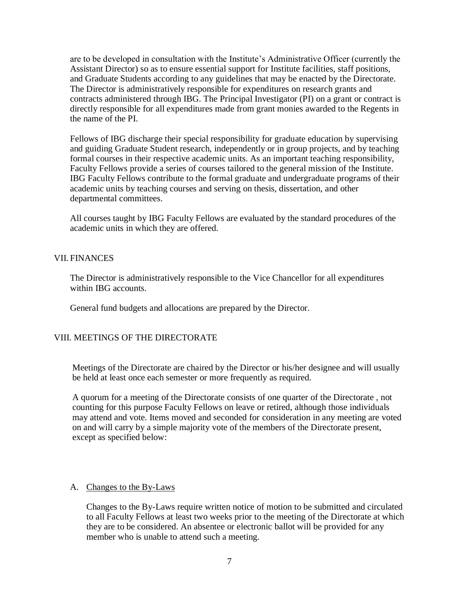are to be developed in consultation with the Institute's Administrative Officer (currently the Assistant Director) so as to ensure essential support for Institute facilities, staff positions, and Graduate Students according to any guidelines that may be enacted by the Directorate. The Director is administratively responsible for expenditures on research grants and contracts administered through IBG. The Principal Investigator (PI) on a grant or contract is directly responsible for all expenditures made from grant monies awarded to the Regents in the name of the PI.

Fellows of IBG discharge their special responsibility for graduate education by supervising and guiding Graduate Student research, independently or in group projects, and by teaching formal courses in their respective academic units. As an important teaching responsibility, Faculty Fellows provide a series of courses tailored to the general mission of the Institute. IBG Faculty Fellows contribute to the formal graduate and undergraduate programs of their academic units by teaching courses and serving on thesis, dissertation, and other departmental committees.

All courses taught by IBG Faculty Fellows are evaluated by the standard procedures of the academic units in which they are offered.

## VII. FINANCES

The Director is administratively responsible to the Vice Chancellor for all expenditures within IBG accounts.

General fund budgets and allocations are prepared by the Director.

## VIII. MEETINGS OF THE DIRECTORATE

Meetings of the Directorate are chaired by the Director or his/her designee and will usually be held at least once each semester or more frequently as required.

A quorum for a meeting of the Directorate consists of one quarter of the Directorate , not counting for this purpose Faculty Fellows on leave or retired, although those individuals may attend and vote. Items moved and seconded for consideration in any meeting are voted on and will carry by a simple majority vote of the members of the Directorate present, except as specified below:

## A. Changes to the By-Laws

Changes to the By-Laws require written notice of motion to be submitted and circulated to all Faculty Fellows at least two weeks prior to the meeting of the Directorate at which they are to be considered. An absentee or electronic ballot will be provided for any member who is unable to attend such a meeting.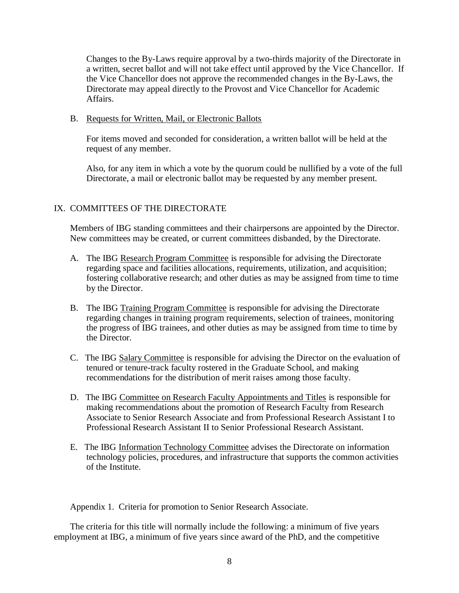Changes to the By-Laws require approval by a two-thirds majority of the Directorate in a written, secret ballot and will not take effect until approved by the Vice Chancellor. If the Vice Chancellor does not approve the recommended changes in the By-Laws, the Directorate may appeal directly to the Provost and Vice Chancellor for Academic Affairs.

#### B. Requests for Written, Mail, or Electronic Ballots

For items moved and seconded for consideration, a written ballot will be held at the request of any member.

Also, for any item in which a vote by the quorum could be nullified by a vote of the full Directorate, a mail or electronic ballot may be requested by any member present.

# IX. COMMITTEES OF THE DIRECTORATE

Members of IBG standing committees and their chairpersons are appointed by the Director. New committees may be created, or current committees disbanded, by the Directorate.

- A. The IBG Research Program Committee is responsible for advising the Directorate regarding space and facilities allocations, requirements, utilization, and acquisition; fostering collaborative research; and other duties as may be assigned from time to time by the Director.
- B. The IBG Training Program Committee is responsible for advising the Directorate regarding changes in training program requirements, selection of trainees, monitoring the progress of IBG trainees, and other duties as may be assigned from time to time by the Director.
- C. The IBG Salary Committee is responsible for advising the Director on the evaluation of tenured or tenure-track faculty rostered in the Graduate School, and making recommendations for the distribution of merit raises among those faculty.
- D. The IBG Committee on Research Faculty Appointments and Titles is responsible for making recommendations about the promotion of Research Faculty from Research Associate to Senior Research Associate and from Professional Research Assistant I to Professional Research Assistant II to Senior Professional Research Assistant.
- E. The IBG Information Technology Committee advises the Directorate on information technology policies, procedures, and infrastructure that supports the common activities of the Institute.

Appendix 1. Criteria for promotion to Senior Research Associate.

The criteria for this title will normally include the following: a minimum of five years employment at IBG, a minimum of five years since award of the PhD, and the competitive